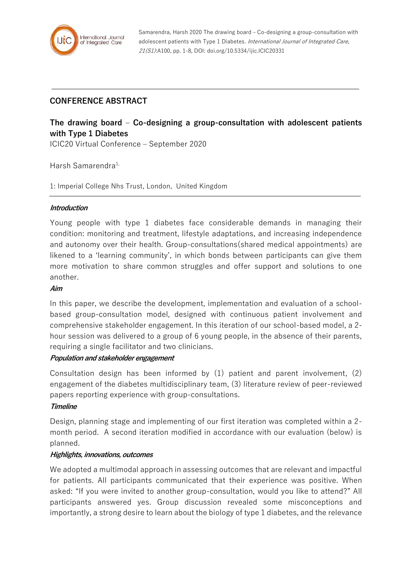

Samarendra, Harsh 2020 The drawing board – Co-designing a group-consultation with adolescent patients with Type 1 Diabetes. International Journal of Integrated Care, 21(S1):A100, pp. 1-8, DOI: doi.org/10.5334/ijic.ICIC20331

# **CONFERENCE ABSTRACT**

# **The drawing board – Co-designing a group-consultation with adolescent patients with Type 1 Diabetes**

ICIC20 Virtual Conference – September 2020

Harsh Samarendra<sup>1,</sup>

1: Imperial College Nhs Trust, London, United Kingdom

#### **Introduction**

Young people with type 1 diabetes face considerable demands in managing their condition: monitoring and treatment, lifestyle adaptations, and increasing independence and autonomy over their health. Group-consultations(shared medical appointments) are likened to a 'learning community', in which bonds between participants can give them more motivation to share common struggles and offer support and solutions to one another.

## **Aim**

In this paper, we describe the development, implementation and evaluation of a schoolbased group-consultation model, designed with continuous patient involvement and comprehensive stakeholder engagement. In this iteration of our school-based model, a 2 hour session was delivered to a group of 6 young people, in the absence of their parents, requiring a single facilitator and two clinicians.

#### **Population and stakeholder engagement**

Consultation design has been informed by (1) patient and parent involvement, (2) engagement of the diabetes multidisciplinary team, (3) literature review of peer-reviewed papers reporting experience with group-consultations.

#### **Timeline**

Design, planning stage and implementing of our first iteration was completed within a 2 month period. A second iteration modified in accordance with our evaluation (below) is planned.

#### **Highlights, innovations, outcomes**

We adopted a multimodal approach in assessing outcomes that are relevant and impactful for patients. All participants communicated that their experience was positive. When asked: "If you were invited to another group-consultation, would you like to attend?" All participants answered yes. Group discussion revealed some misconceptions and importantly, a strong desire to learn about the biology of type 1 diabetes, and the relevance